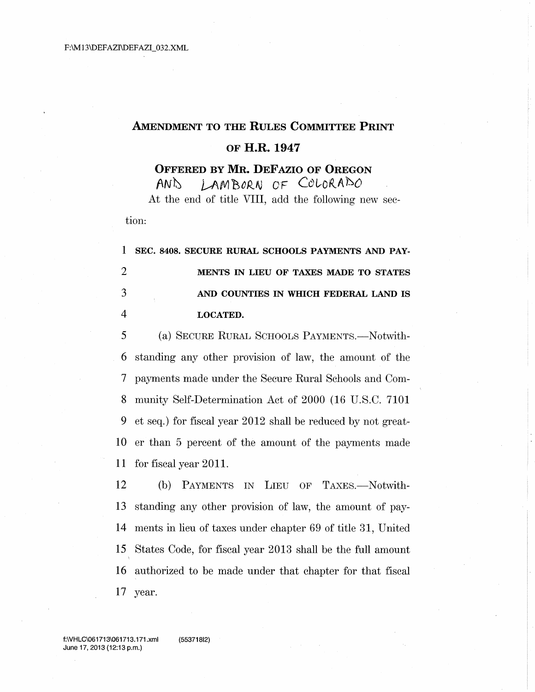## **AMENDMENT TO THE RULES COMMITTEE PRINT** OF H.R. 1947

**OFFERED BY MR. DEFAZIO OF OREGON** 

LAMBORN OF COLORADO  $AN<sub>o</sub>$ At the end of title VIII, add the following new sec-

tion:

 $\mathbf{1}$ SEC. 8408. SECURE RURAL SCHOOLS PAYMENTS AND PAY- $\overline{2}$ MENTS IN LIEU OF TAXES MADE TO STATES 3 AND COUNTIES IN WHICH FEDERAL LAND IS  $\overline{4}$ **LOCATED.** 

5 (a) SECURE RURAL SCHOOLS PAYMENTS.—Notwithstanding any other provision of law, the amount of the 6  $\overline{\mathcal{L}}$ payments made under the Secure Rural Schools and Com-8 munity Self-Determination Act of 2000 (16 U.S.C. 7101) 9 et seq.) for fiscal year 2012 shall be reduced by not great-10 er than 5 percent of the amount of the payments made for fiscal year 2011. 11

12 (b) PAYMENTS IN LIEU OF TAXES.-Notwithstanding any other provision of law, the amount of pay-13 ments in lieu of taxes under chapter 69 of title 31, United 14 States Code, for fiscal year 2013 shall be the full amount 15 16 authorized to be made under that chapter for that fiscal 17 year.